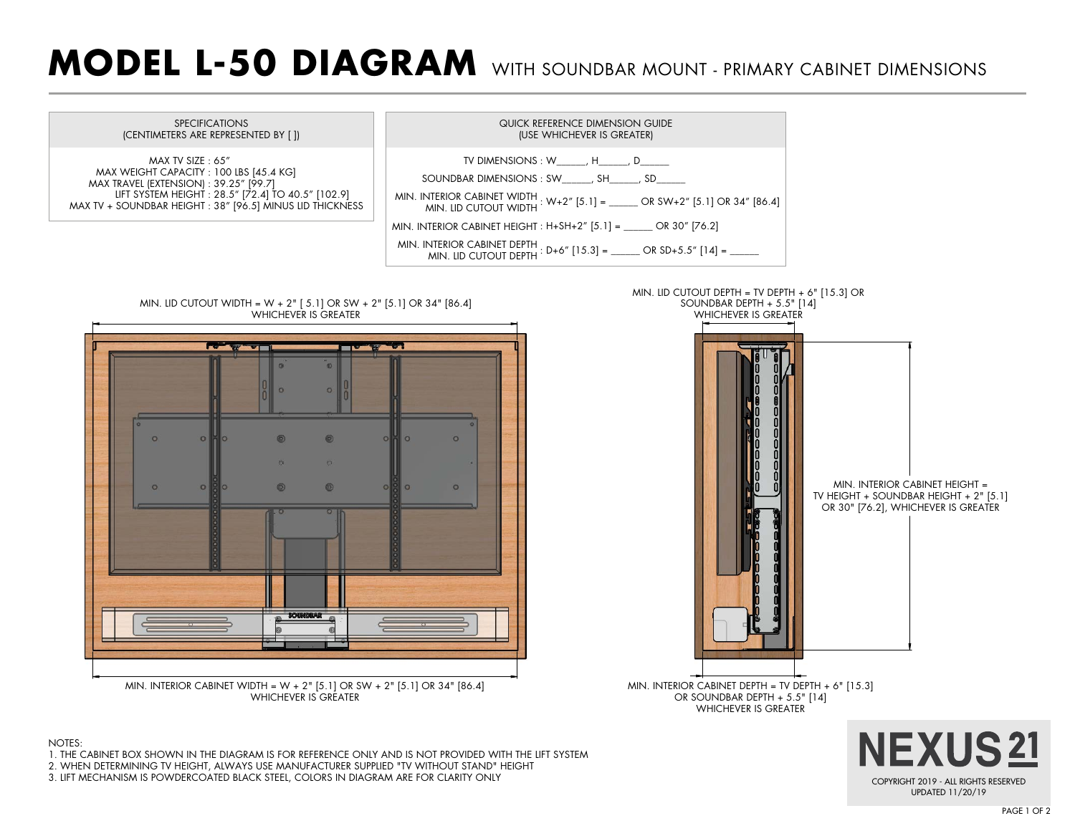## **MODEL L-50 DIAGRAM** WITH SOUNDBAR MOUNT - PRIMARY CABINET DIMENSIONS



3. LIFT MECHANISM IS POWDERCOATED BLACK STEEL, COLORS IN DIAGRAM ARE FOR CLARITY ONLY

COPYRIGHT 2019 - ALL RIGHTS RESERVED UPDATED 11/20/19